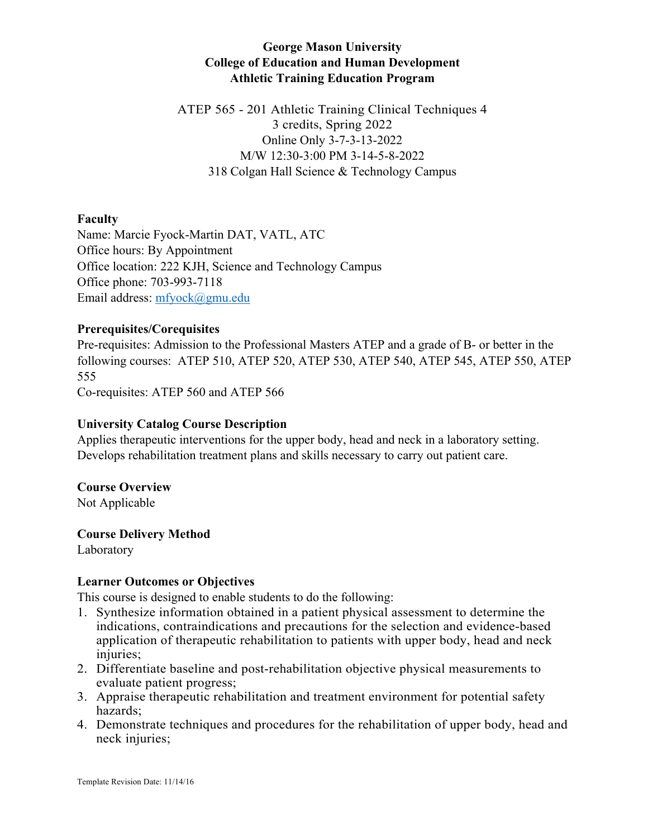# **George Mason University College of Education and Human Development Athletic Training Education Program**

ATEP 565 - 201 Athletic Training Clinical Techniques 4 3 credits, Spring 2022 Online Only 3-7-3-13-2022 M/W 12:30-3:00 PM 3-14-5-8-2022 318 Colgan Hall Science & Technology Campus

# **Faculty**

Name: Marcie Fyock-Martin DAT, VATL, ATC Office hours: By Appointment Office location: 222 KJH, Science and Technology Campus Office phone: 703-993-7118 Email address: mfyock@gmu.edu

# **Prerequisites/Corequisites**

Pre-requisites: Admission to the Professional Masters ATEP and a grade of B- or better in the following courses: ATEP 510, ATEP 520, ATEP 530, ATEP 540, ATEP 545, ATEP 550, ATEP 555

Co-requisites: ATEP 560 and ATEP 566

#### **University Catalog Course Description**

Applies therapeutic interventions for the upper body, head and neck in a laboratory setting. Develops rehabilitation treatment plans and skills necessary to carry out patient care.

#### **Course Overview**

Not Applicable

#### **Course Delivery Method**

Laboratory

#### **Learner Outcomes or Objectives**

This course is designed to enable students to do the following:

- 1. Synthesize information obtained in a patient physical assessment to determine the indications, contraindications and precautions for the selection and evidence-based application of therapeutic rehabilitation to patients with upper body, head and neck injuries;
- 2. Differentiate baseline and post-rehabilitation objective physical measurements to evaluate patient progress;
- 3. Appraise therapeutic rehabilitation and treatment environment for potential safety hazards;
- 4. Demonstrate techniques and procedures for the rehabilitation of upper body, head and neck injuries;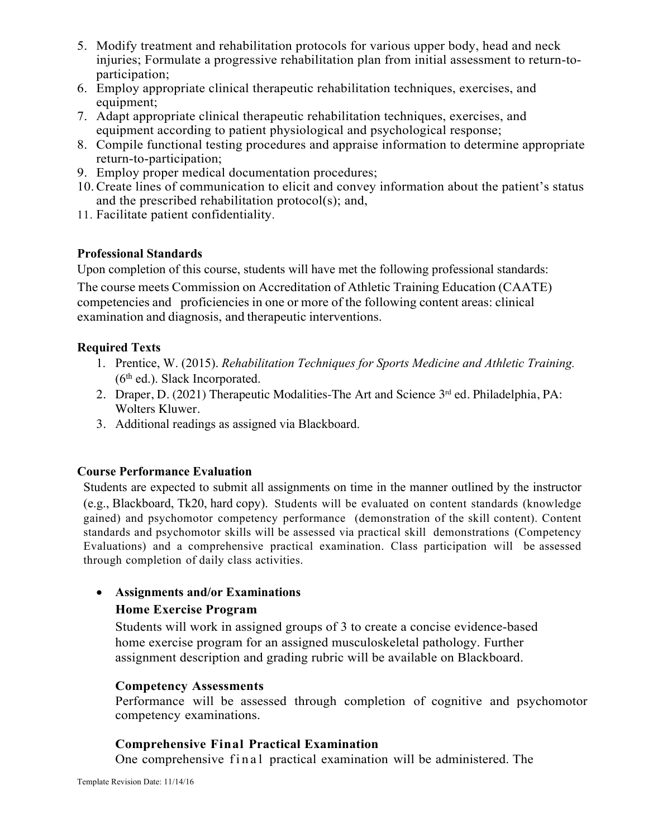- 5. Modify treatment and rehabilitation protocols for various upper body, head and neck injuries; Formulate a progressive rehabilitation plan from initial assessment to return-toparticipation;
- 6. Employ appropriate clinical therapeutic rehabilitation techniques, exercises, and equipment;
- 7. Adapt appropriate clinical therapeutic rehabilitation techniques, exercises, and equipment according to patient physiological and psychological response;
- 8. Compile functional testing procedures and appraise information to determine appropriate return-to-participation;
- 9. Employ proper medical documentation procedures;
- 10.Create lines of communication to elicit and convey information about the patient's status and the prescribed rehabilitation protocol(s); and,
- 11. Facilitate patient confidentiality.

# **Professional Standards**

Upon completion of this course, students will have met the following professional standards:

The course meets Commission on Accreditation of Athletic Training Education (CAATE) competencies and proficiencies in one or more of the following content areas: clinical examination and diagnosis, and therapeutic interventions.

# **Required Texts**

- 1. Prentice, W. (2015). *Rehabilitation Techniques for Sports Medicine and Athletic Training.*   $(6<sup>th</sup>$  ed.). Slack Incorporated.
- 2. Draper, D. (2021) Therapeutic Modalities-The Art and Science 3rd ed. Philadelphia, PA: Wolters Kluwer.
- 3. Additional readings as assigned via Blackboard.

# **Course Performance Evaluation**

Students are expected to submit all assignments on time in the manner outlined by the instructor (e.g., Blackboard, Tk20, hard copy). Students will be evaluated on content standards (knowledge gained) and psychomotor competency performance (demonstration of the skill content). Content standards and psychomotor skills will be assessed via practical skill demonstrations (Competency Evaluations) and a comprehensive practical examination. Class participation will be assessed through completion of daily class activities.

# • **Assignments and/or Examinations**

# **Home Exercise Program**

Students will work in assigned groups of 3 to create a concise evidence-based home exercise program for an assigned musculoskeletal pathology. Further assignment description and grading rubric will be available on Blackboard.

#### **Competency Assessments**

Performance will be assessed through completion of cognitive and psychomotor competency examinations.

# **Comprehensive Final Practical Examination**

One comprehensive final practical examination will be administered. The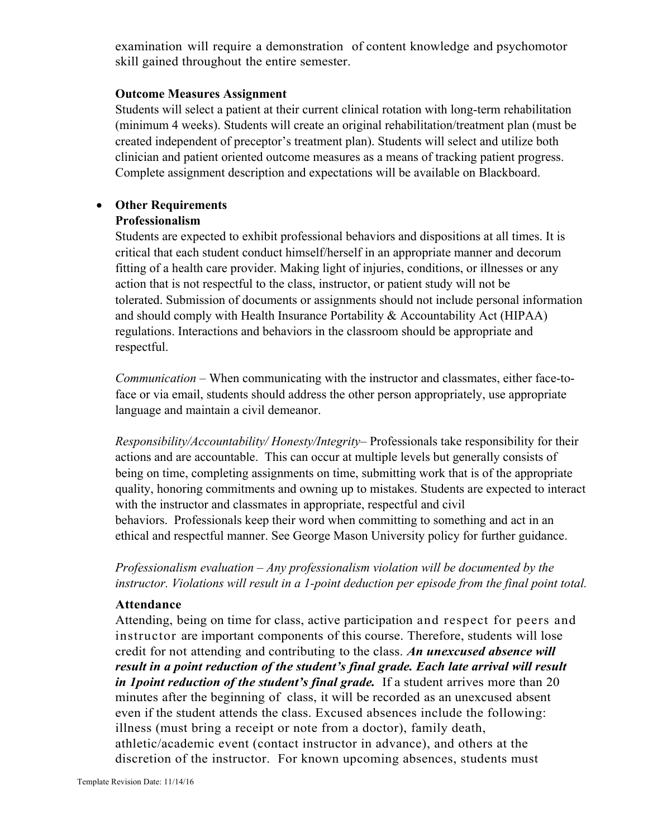examination will require a demonstration of content knowledge and psychomotor skill gained throughout the entire semester.

#### **Outcome Measures Assignment**

Students will select a patient at their current clinical rotation with long-term rehabilitation (minimum 4 weeks). Students will create an original rehabilitation/treatment plan (must be created independent of preceptor's treatment plan). Students will select and utilize both clinician and patient oriented outcome measures as a means of tracking patient progress. Complete assignment description and expectations will be available on Blackboard.

# • **Other Requirements**

# **Professionalism**

Students are expected to exhibit professional behaviors and dispositions at all times. It is critical that each student conduct himself/herself in an appropriate manner and decorum fitting of a health care provider. Making light of injuries, conditions, or illnesses or any action that is not respectful to the class, instructor, or patient study will not be tolerated. Submission of documents or assignments should not include personal information and should comply with Health Insurance Portability & Accountability Act (HIPAA) regulations. Interactions and behaviors in the classroom should be appropriate and respectful.

*Communication* – When communicating with the instructor and classmates, either face-toface or via email, students should address the other person appropriately, use appropriate language and maintain a civil demeanor.

*Responsibility/Accountability/ Honesty/Integrity*– Professionals take responsibility for their actions and are accountable. This can occur at multiple levels but generally consists of being on time, completing assignments on time, submitting work that is of the appropriate quality, honoring commitments and owning up to mistakes. Students are expected to interact with the instructor and classmates in appropriate, respectful and civil behaviors. Professionals keep their word when committing to something and act in an ethical and respectful manner. See George Mason University policy for further guidance.

*Professionalism evaluation – Any professionalism violation will be documented by the instructor. Violations will result in a 1-point deduction per episode from the final point total.*

#### **Attendance**

Attending, being on time for class, active participation and respect for peers and instructor are important components of this course. Therefore, students will lose credit for not attending and contributing to the class. *An unexcused absence will result in a point reduction of the student's final grade. Each late arrival will result in 1 point reduction of the student's final grade.* If a student arrives more than 20 minutes after the beginning of class, it will be recorded as an unexcused absent even if the student attends the class. Excused absences include the following: illness (must bring a receipt or note from a doctor), family death, athletic/academic event (contact instructor in advance), and others at the discretion of the instructor. For known upcoming absences, students must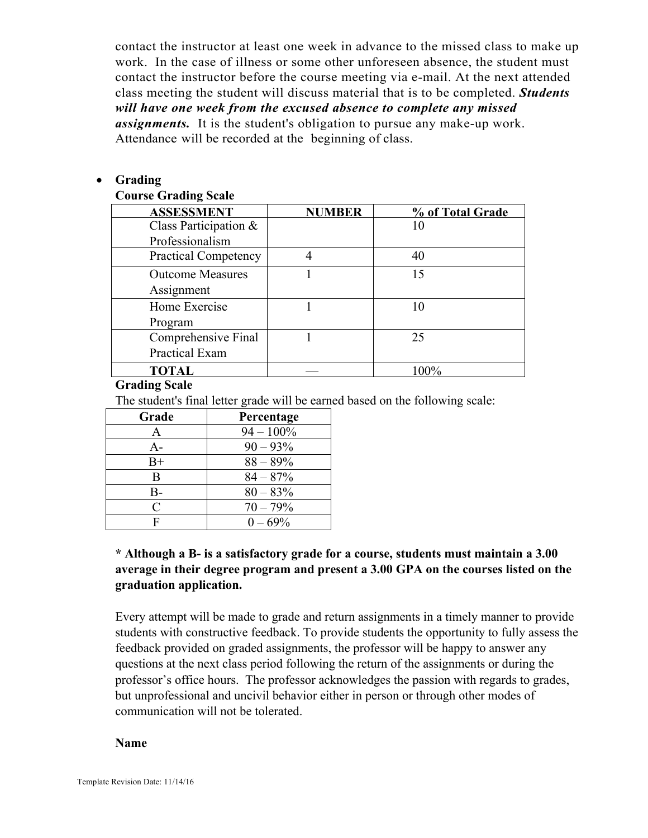contact the instructor at least one week in advance to the missed class to make up work. In the case of illness or some other unforeseen absence, the student must contact the instructor before the course meeting via e-mail. At the next attended class meeting the student will discuss material that is to be completed. *Students will have one week from the excused absence to complete any missed assignments.* It is the student's obligation to pursue any make-up work. Attendance will be recorded at the beginning of class.

#### • **Grading**

#### **Course Grading Scale**

| <b>ASSESSMENT</b>           | <b>NUMBER</b> | % of Total Grade |
|-----------------------------|---------------|------------------|
| Class Participation &       |               | 10               |
| Professionalism             |               |                  |
| <b>Practical Competency</b> |               | 40               |
| <b>Outcome Measures</b>     |               | 15               |
| Assignment                  |               |                  |
| Home Exercise               |               | 10               |
| Program                     |               |                  |
| Comprehensive Final         |               | 25               |
| <b>Practical Exam</b>       |               |                  |
| <b>TOTAL</b>                |               | $100\%$          |

#### **Grading Scale**

The student's final letter grade will be earned based on the following scale:

| Grade | Percentage   |
|-------|--------------|
| А     | $94 - 100\%$ |
| $A -$ | $90 - 93\%$  |
| $B+$  | $88 - 89\%$  |
| В     | $84 - 87%$   |
| B-    | $80 - 83\%$  |
| C     | $70 - 79%$   |
| F     | $0 - 69\%$   |

# **\* Although a B- is a satisfactory grade for a course, students must maintain a 3.00 average in their degree program and present a 3.00 GPA on the courses listed on the graduation application.**

Every attempt will be made to grade and return assignments in a timely manner to provide students with constructive feedback. To provide students the opportunity to fully assess the feedback provided on graded assignments, the professor will be happy to answer any questions at the next class period following the return of the assignments or during the professor's office hours. The professor acknowledges the passion with regards to grades, but unprofessional and uncivil behavior either in person or through other modes of communication will not be tolerated.

#### **Name**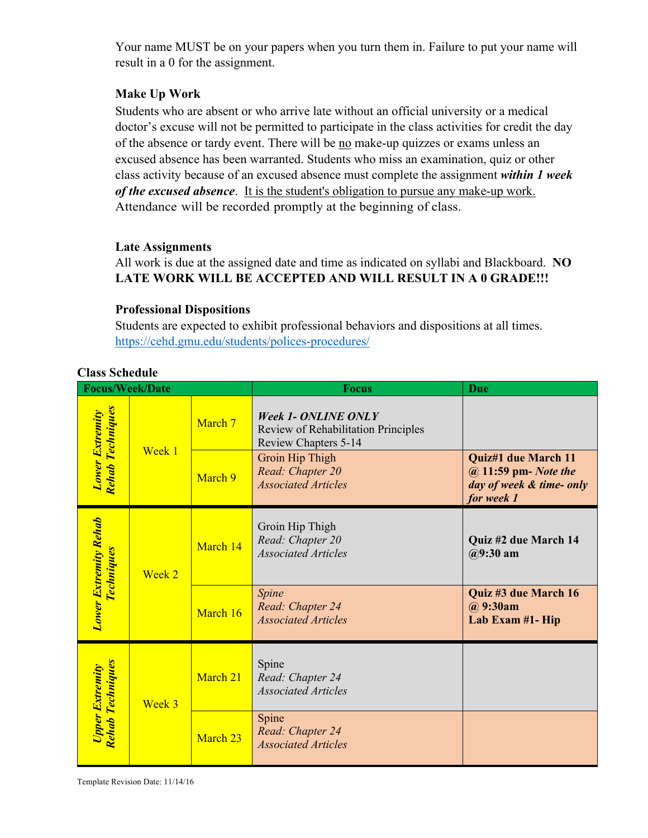Your name MUST be on your papers when you turn them in. Failure to put your name will result in a 0 for the assignment.

# **Make Up Work**

Students who are absent or who arrive late without an official university or a medical doctor's excuse will not be permitted to participate in the class activities for credit the day of the absence or tardy event. There will be no make-up quizzes or exams unless an excused absence has been warranted. Students who miss an examination, quiz or other class activity because of an excused absence must complete the assignment *within 1 week of the excused absence*. It is the student's obligation to pursue any make-up work. Attendance will be recorded promptly at the beginning of class.

#### **Late Assignments**

All work is due at the assigned date and time as indicated on syllabi and Blackboard. **NO LATE WORK WILL BE ACCEPTED AND WILL RESULT IN A 0 GRADE!!!**

# **Professional Dispositions**

Students are expected to exhibit professional behaviors and dispositions at all times. https://cehd.gmu.edu/students/polices-procedures/

| <b>Class Schedule</b> |  |  |
|-----------------------|--|--|
|-----------------------|--|--|

| <b>Focus/Week/Date</b>                            |                              |          | <b>Focus</b>                                                                              | Due                                                                                   |
|---------------------------------------------------|------------------------------|----------|-------------------------------------------------------------------------------------------|---------------------------------------------------------------------------------------|
| <u>Rehab Techniques</u><br><b>Lower Extremity</b> | Week 1                       | March 7  | <b>Week 1- ONLINE ONLY</b><br>Review of Rehabilitation Principles<br>Review Chapters 5-14 |                                                                                       |
|                                                   |                              | March 9  | Groin Hip Thigh<br>Read: Chapter 20<br><b>Associated Articles</b>                         | Quiz#1 due March 11<br>@ 11:59 pm- Note the<br>day of week & time- only<br>for week 1 |
| <b>Lower Extremity Rehab</b>                      | <u> Techniques</u><br>Week 2 | March 14 | Groin Hip Thigh<br>Read: Chapter 20<br><b>Associated Articles</b>                         | Quiz #2 due March 14<br>$(29:30 \text{ am})$                                          |
|                                                   |                              | March 16 | Spine<br>Read: Chapter 24<br><b>Associated Articles</b>                                   | Quiz #3 due March 16<br>@ 9:30am<br>Lab Exam #1- Hip                                  |
| <u>Rehab Techniques</u><br><b>Upper Extremity</b> | Week 3                       | March 21 | Spine<br>Read: Chapter 24<br><b>Associated Articles</b>                                   |                                                                                       |
|                                                   |                              | March 23 | Spine<br>Read: Chapter 24<br><b>Associated Articles</b>                                   |                                                                                       |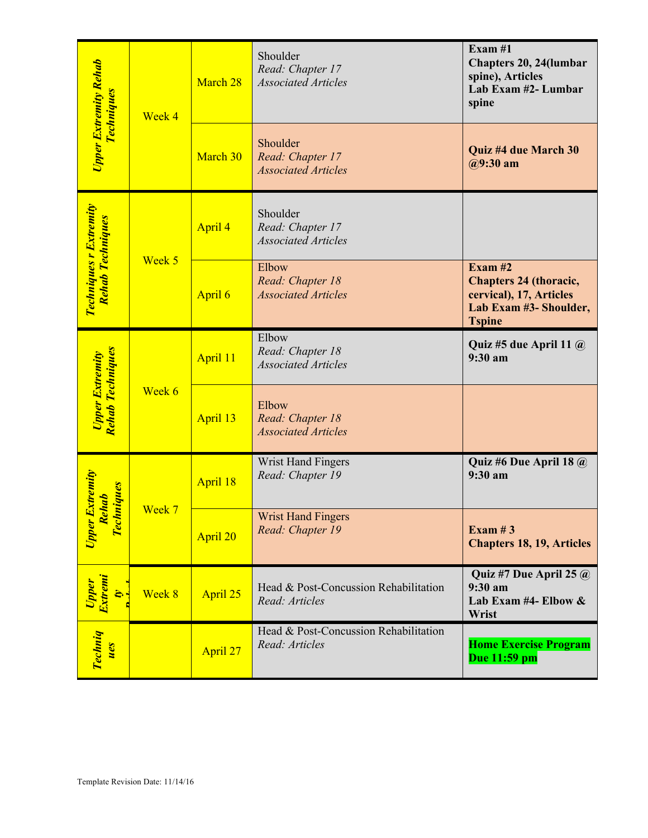| <b>Upper Extremity Rehab</b><br><u> Techniques</u>                                  | Week 4                           | March 28 | Shoulder<br>Read: Chapter 17<br><b>Associated Articles</b> | Exam #1<br>Chapters 20, 24(lumbar<br>spine), Articles<br>Lab Exam #2- Lumbar<br>spine                            |
|-------------------------------------------------------------------------------------|----------------------------------|----------|------------------------------------------------------------|------------------------------------------------------------------------------------------------------------------|
|                                                                                     |                                  | March 30 | Shoulder<br>Read: Chapter 17<br><b>Associated Articles</b> | Quiz #4 due March 30<br>$@9:30$ am                                                                               |
| Techniques r Extremity<br><b>Rehab Techniques</b>                                   | Week 5                           | April 4  | Shoulder<br>Read: Chapter 17<br><b>Associated Articles</b> |                                                                                                                  |
|                                                                                     |                                  | April 6  | Elbow<br>Read: Chapter 18<br><b>Associated Articles</b>    | Exam $#2$<br><b>Chapters 24 (thoracic,</b><br>cervical), 17, Articles<br>Lab Exam #3- Shoulder,<br><b>Tspine</b> |
| Rehab Techniques<br><b>Upper Extremity</b>                                          | Week 6                           | April 11 | Elbow<br>Read: Chapter 18<br><b>Associated Articles</b>    | Quiz #5 due April 11 @<br>9:30 am                                                                                |
|                                                                                     |                                  | April 13 | Elbow<br>Read: Chapter 18<br><b>Associated Articles</b>    |                                                                                                                  |
| <b>Extremity</b><br><b>uiques</b><br>ehab<br><b>Tech</b><br>Upper 1<br>$\mathbf{R}$ | Week 7                           | April 18 | Wrist Hand Fingers<br>Read: Chapter 19                     | Quiz #6 Due April 18 @<br>9:30 am                                                                                |
|                                                                                     |                                  | April 20 | <b>Wrist Hand Fingers</b><br>Read: Chapter 19              | Exam $#3$<br><b>Chapters 18, 19, Articles</b>                                                                    |
| Upper<br>Extremi<br>é,                                                              | Week 8                           | April 25 | Head & Post-Concussion Rehabilitation<br>Read: Articles    | Quiz #7 Due April 25 @<br>9:30 a <sub>m</sub><br>Lab Exam #4- Elbow $\&$<br>Wrist                                |
| Techniq<br>ues                                                                      |                                  | April 27 | Head & Post-Concussion Rehabilitation<br>Read: Articles    | <b>Home Exercise Program</b><br>Due 11:59 pm                                                                     |
|                                                                                     | Template Revision Date: 11/14/16 |          |                                                            |                                                                                                                  |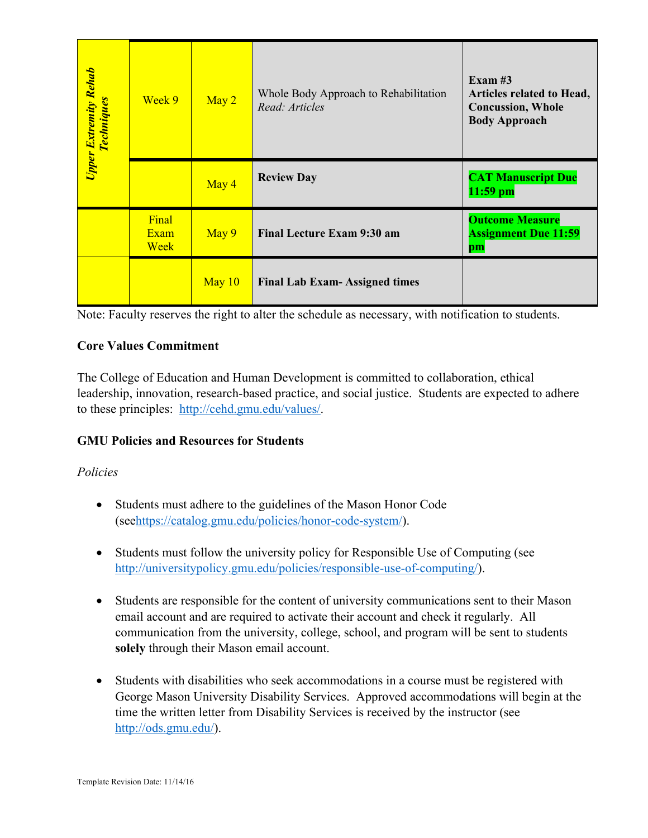| Upper Extremity Rehab<br><b>Techniques</b>                                                                                                                                                                                                                                                                                      | Week 9                | May 2  | Whole Body Approach to Rehabilitation<br>Read: Articles                                                                     | Exam $#3$<br>Articles related to Head,<br><b>Concussion</b> , Whole<br><b>Body Approach</b> |
|---------------------------------------------------------------------------------------------------------------------------------------------------------------------------------------------------------------------------------------------------------------------------------------------------------------------------------|-----------------------|--------|-----------------------------------------------------------------------------------------------------------------------------|---------------------------------------------------------------------------------------------|
|                                                                                                                                                                                                                                                                                                                                 |                       | May 4  | <b>Review Day</b>                                                                                                           | <b>CAT Manuscript Due</b><br>$11:59$ pm                                                     |
|                                                                                                                                                                                                                                                                                                                                 | Final<br>Exam<br>Week | May 9  | <b>Final Lecture Exam 9:30 am</b>                                                                                           | <b>Outcome Measure</b><br><b>Assignment Due 11:59</b><br>$\bf{p}$ m                         |
|                                                                                                                                                                                                                                                                                                                                 |                       | May 10 | <b>Final Lab Exam-Assigned times</b>                                                                                        |                                                                                             |
| The College of Education and Human Development is committed to collaboration, ethical<br>leadership, innovation, research-based practice, and social justice. Students are expected to adhere<br>to these principles: http://cehd.gmu.edu/values/.<br><b>GMU Policies and Resources for Students</b><br>Policies                |                       |        |                                                                                                                             |                                                                                             |
|                                                                                                                                                                                                                                                                                                                                 |                       |        | Students must adhere to the guidelines of the Mason Honor Code<br>(seehttps://catalog.gmu.edu/policies/honor-code-system/). |                                                                                             |
| Students must follow the university policy for Responsible Use of Computing (see<br>http://universitypolicy.gmu.edu/policies/responsible-use-of-computing/).                                                                                                                                                                    |                       |        |                                                                                                                             |                                                                                             |
| Students are responsible for the content of university communications sent to their Mason<br>٠<br>email account and are required to activate their account and check it regularly. All<br>communication from the university, college, school, and program will be sent to students<br>solely through their Mason email account. |                       |        |                                                                                                                             |                                                                                             |
| Students with disabilities who seek accommodations in a course must be registered with<br>George Mason University Disability Services. Approved accommodations will begin at the<br>time the written letter from Disability Services is received by the instructor (see<br>http://ods.gmu.edu/).                                |                       |        |                                                                                                                             |                                                                                             |
| Template Revision Date: 11/14/16                                                                                                                                                                                                                                                                                                |                       |        |                                                                                                                             |                                                                                             |

# **Core Values Commitment**

# **GMU Policies and Resources for Students**

# *Policies*

- Students must adhere to the guidelines of the Mason Honor Code (seehttps://catalog.gmu.edu/policies/honor-code-system/).
- Students must follow the university policy for Responsible Use of Computing (see http://universitypolicy.gmu.edu/policies/responsible-use-of-computing/).
- Students are responsible for the content of university communications sent to their Mason email account and are required to activate their account and check it regularly. All communication from the university, college, school, and program will be sent to students **solely** through their Mason email account.
- Students with disabilities who seek accommodations in a course must be registered with George Mason University Disability Services. Approved accommodations will begin at the time the written letter from Disability Services is received by the instructor (see http://ods.gmu.edu/).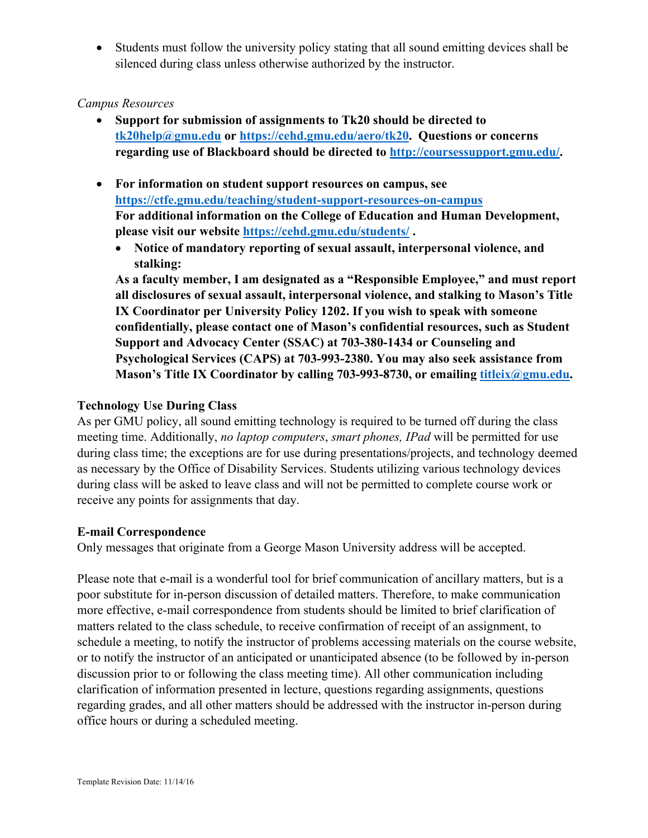• Students must follow the university policy stating that all sound emitting devices shall be silenced during class unless otherwise authorized by the instructor.

# *Campus Resources*

- **Support for submission of assignments to Tk20 should be directed to tk20help@gmu.edu or https://cehd.gmu.edu/aero/tk20. Questions or concerns regarding use of Blackboard should be directed to http://coursessupport.gmu.edu/.**
- **For information on student support resources on campus, see https://ctfe.gmu.edu/teaching/student-support-resources-on-campus For additional information on the College of Education and Human Development, please visit our website https://cehd.gmu.edu/students/ .**
	- **Notice of mandatory reporting of sexual assault, interpersonal violence, and stalking:**

**As a faculty member, I am designated as a "Responsible Employee," and must report all disclosures of sexual assault, interpersonal violence, and stalking to Mason's Title IX Coordinator per University Policy 1202. If you wish to speak with someone confidentially, please contact one of Mason's confidential resources, such as Student Support and Advocacy Center (SSAC) at 703-380-1434 or Counseling and Psychological Services (CAPS) at 703-993-2380. You may also seek assistance from Mason's Title IX Coordinator by calling 703-993-8730, or emailing titleix@gmu.edu.**

# **Technology Use During Class**

As per GMU policy, all sound emitting technology is required to be turned off during the class meeting time. Additionally, *no laptop computers*, *smart phones, IPad* will be permitted for use during class time; the exceptions are for use during presentations/projects, and technology deemed as necessary by the Office of Disability Services. Students utilizing various technology devices during class will be asked to leave class and will not be permitted to complete course work or receive any points for assignments that day.

#### **E-mail Correspondence**

Only messages that originate from a George Mason University address will be accepted.

Please note that e-mail is a wonderful tool for brief communication of ancillary matters, but is a poor substitute for in-person discussion of detailed matters. Therefore, to make communication more effective, e-mail correspondence from students should be limited to brief clarification of matters related to the class schedule, to receive confirmation of receipt of an assignment, to schedule a meeting, to notify the instructor of problems accessing materials on the course website, or to notify the instructor of an anticipated or unanticipated absence (to be followed by in-person discussion prior to or following the class meeting time). All other communication including clarification of information presented in lecture, questions regarding assignments, questions regarding grades, and all other matters should be addressed with the instructor in-person during office hours or during a scheduled meeting.